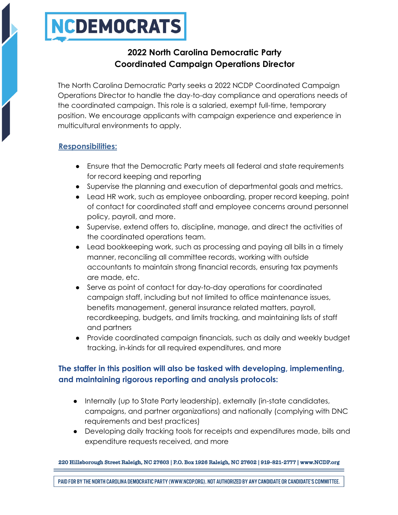# NCDEMOCRATS

## **2022 North Carolina Democratic Party Coordinated Campaign Operations Director**

The North Carolina Democratic Party seeks a 2022 NCDP Coordinated Campaign Operations Director to handle the day-to-day compliance and operations needs of the coordinated campaign. This role is a salaried, exempt full-time, temporary position. We encourage applicants with campaign experience and experience in multicultural environments to apply.

#### **Responsibilities:**

- Ensure that the Democratic Party meets all federal and state requirements for record keeping and reporting
- Supervise the planning and execution of departmental goals and metrics.
- Lead HR work, such as employee onboarding, proper record keeping, point of contact for coordinated staff and employee concerns around personnel policy, payroll, and more.
- Supervise, extend offers to, discipline, manage, and direct the activities of the coordinated operations team.
- Lead bookkeeping work, such as processing and paying all bills in a timely manner, reconciling all committee records, working with outside accountants to maintain strong financial records, ensuring tax payments are made, etc.
- Serve as point of contact for day-to-day operations for coordinated campaign staff, including but not limited to office maintenance issues, benefits management, general insurance related matters, payroll, recordkeeping, budgets, and limits tracking, and maintaining lists of staff and partners
- Provide coordinated campaign financials, such as daily and weekly budget tracking, in-kinds for all required expenditures, and more

### **The staffer in this position will also be tasked with developing, implementing, and maintaining rigorous reporting and analysis protocols:**

- Internally (up to State Party leadership), externally (in-state candidates, campaigns, and partner organizations) and nationally (complying with DNC requirements and best practices)
- Developing daily tracking tools for receipts and expenditures made, bills and expenditure requests received, and more

220 Hillsborough Street Raleigh, NC 27603 | P.O. Box 1926 Raleigh, NC 27602 | 919-821-2777 | www.NCDP.org

PAID FOR BY THE NORTH CAROLINA DEMOCRATIC PARTY (WWW.NCDP.ORG). NOT AUTHORIZED BY ANY CANDIDATE OR CANDIDATE'S COMMITTEE.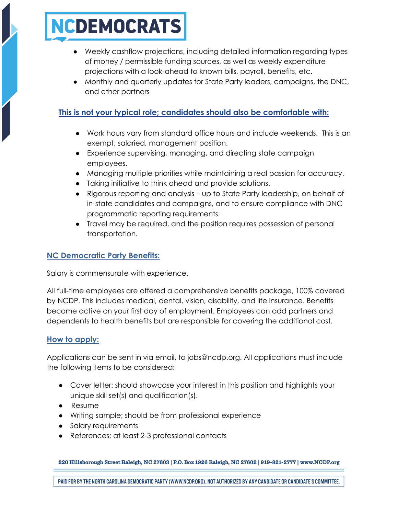# NCDEMOCRATS

- Weekly cashflow projections, including detailed information regarding types of money / permissible funding sources, as well as weekly expenditure projections with a look-ahead to known bills, payroll, benefits, etc.
- Monthly and quarterly updates for State Party leaders, campaigns, the DNC, and other partners

#### **This is not your typical role; candidates should also be comfortable with:**

- Work hours vary from standard office hours and include weekends. This is an exempt, salaried, management position.
- Experience supervising, managing, and directing state campaign employees.
- Managing multiple priorities while maintaining a real passion for accuracy.
- Taking initiative to think ahead and provide solutions.
- Rigorous reporting and analysis up to State Party leadership, on behalf of in-state candidates and campaigns, and to ensure compliance with DNC programmatic reporting requirements.
- Travel may be required, and the position requires possession of personal transportation.

#### **NC Democratic Party Benefits:**

Salary is commensurate with experience.

All full-time employees are offered a comprehensive benefits package, 100% covered by NCDP. This includes medical, dental, vision, disability, and life insurance. Benefits become active on your first day of employment. Employees can add partners and dependents to health benefits but are responsible for covering the additional cost.

#### **How to apply:**

Applications can be sent in via email, to jobs@ncdp.org. All applications must include the following items to be considered:

- Cover letter: should showcase your interest in this position and highlights your unique skill set(s) and qualification(s).
- Resume
- Writing sample; should be from professional experience
- Salary requirements
- References; at least 2-3 professional contacts

220 Hillsborough Street Raleigh, NC 27603 | P.O. Box 1926 Raleigh, NC 27602 | 919-821-2777 | www.NCDP.org